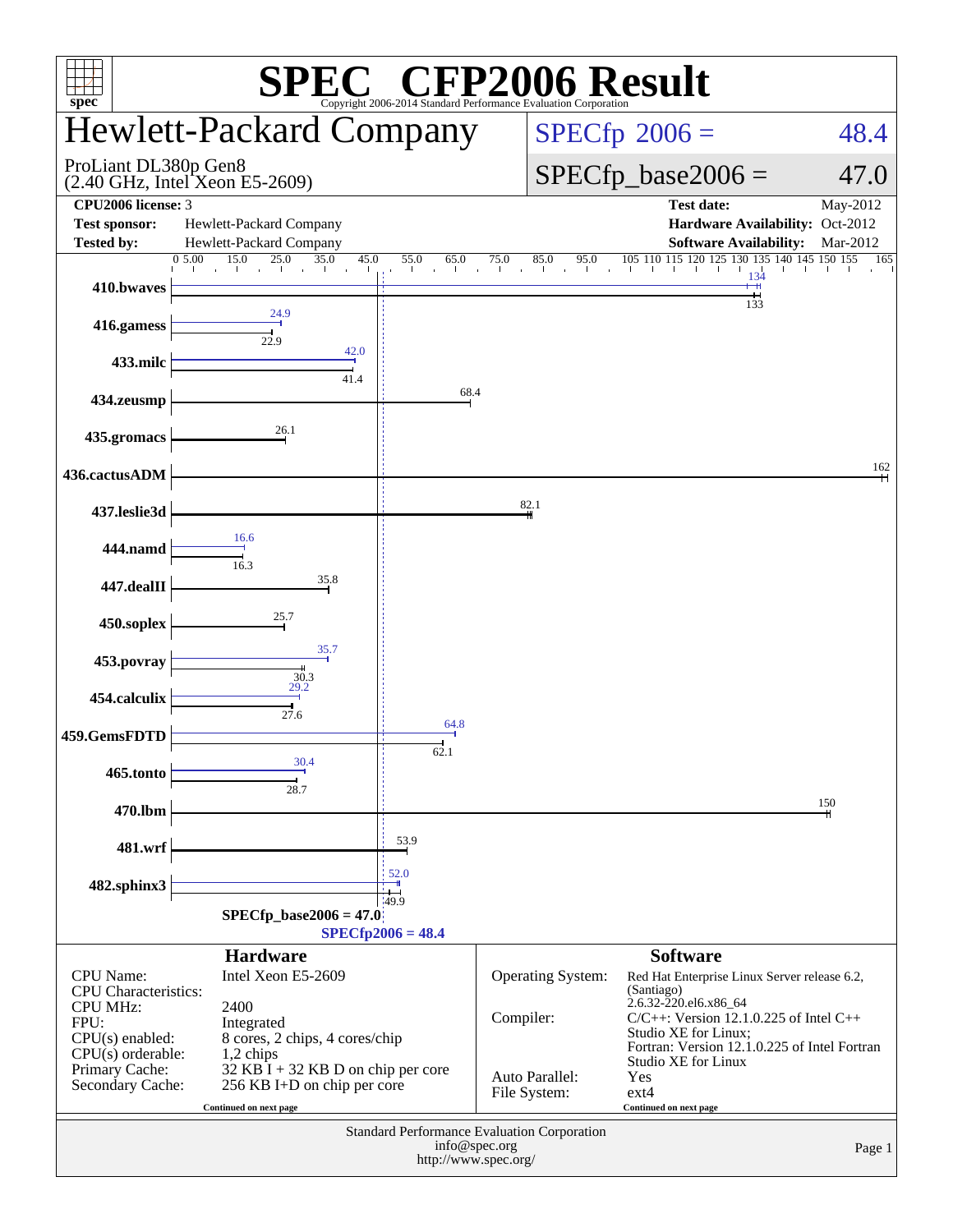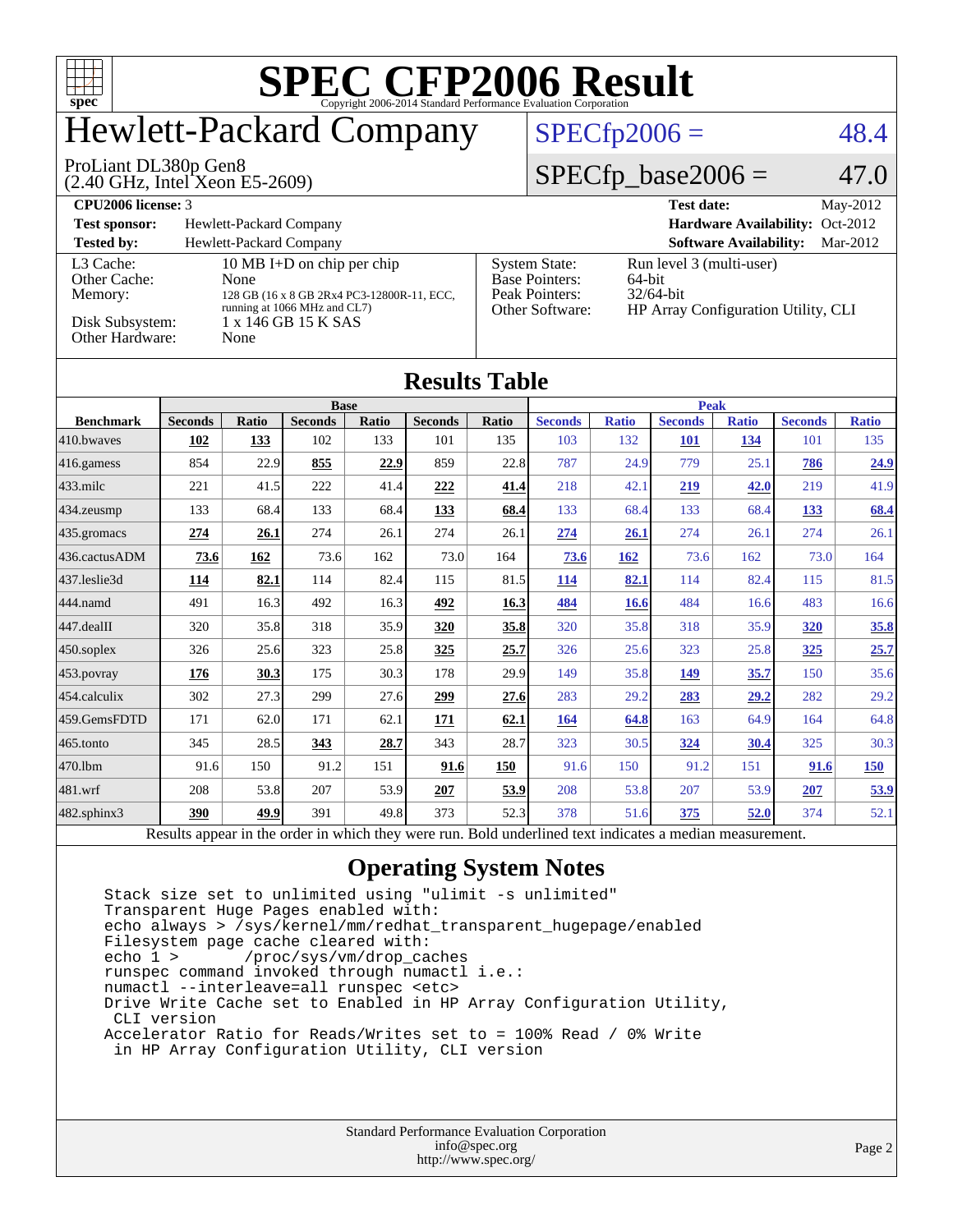

## Hewlett-Packard Company

#### $SPECfp2006 = 48.4$  $SPECfp2006 = 48.4$

#### ProLiant DL380p Gen8

(2.40 GHz, Intel Xeon E5-2609)

 $SPECfp\_base2006 = 47.0$ 

| <b>CPU2006 license: 3</b> |                                                                            |                                   | <b>Test date:</b><br>$May-2012$                     |
|---------------------------|----------------------------------------------------------------------------|-----------------------------------|-----------------------------------------------------|
| <b>Test sponsor:</b>      | Hewlett-Packard Company                                                    |                                   | Hardware Availability: Oct-2012                     |
| <b>Tested by:</b>         | Hewlett-Packard Company                                                    |                                   | <b>Software Availability:</b><br>Mar-2012           |
| L3 Cache:                 | 10 MB I+D on chip per chip                                                 | <b>System State:</b>              | Run level 3 (multi-user)                            |
| Other Cache:              | None                                                                       | <b>Base Pointers:</b>             | 64-bit                                              |
| Memory:                   | 128 GB (16 x 8 GB 2Rx4 PC3-12800R-11, ECC,<br>running at 1066 MHz and CL7) | Peak Pointers:<br>Other Software: | $32/64$ -bit<br>HP Array Configuration Utility, CLI |
| Disk Subsystem:           | 1 x 146 GB 15 K SAS                                                        |                                   |                                                     |
| Other Hardware:           | None                                                                       |                                   |                                                     |

#### **[Results Table](http://www.spec.org/auto/cpu2006/Docs/result-fields.html#ResultsTable)**

|                   | <b>Base</b>    |       |                |       | <b>Peak</b>    |       |                |              |                |              |                |              |
|-------------------|----------------|-------|----------------|-------|----------------|-------|----------------|--------------|----------------|--------------|----------------|--------------|
| <b>Benchmark</b>  | <b>Seconds</b> | Ratio | <b>Seconds</b> | Ratio | <b>Seconds</b> | Ratio | <b>Seconds</b> | <b>Ratio</b> | <b>Seconds</b> | <b>Ratio</b> | <b>Seconds</b> | <b>Ratio</b> |
| 410.bwayes        | 102            | 133   | 102            | 133   | 101            | 135   | 103            | 132          | 101            | 134          | 101            | 135          |
| 416.gamess        | 854            | 22.9  | 855            | 22.9  | 859            | 22.8  | 787            | 24.9         | 779            | 25.1         | 786            | 24.9         |
| $433$ .milc       | 221            | 41.5  | 222            | 41.4  | 222            | 41.4  | 218            | 42.1         | <u>219</u>     | <u>42.0</u>  | 219            | 41.9         |
| 434.zeusmp        | 133            | 68.4  | 133            | 68.4  | 133            | 68.4  | 133            | 68.4         | 133            | 68.4         | 133            | 68.4         |
| 435.gromacs       | 274            | 26.1  | 274            | 26.1  | 274            | 26.1  | 274            | 26.1         | 274            | 26.1         | 274            | 26.1         |
| 436.cactusADM     | 73.6           | 162   | 73.6           | 162   | 73.0           | 164   | 73.6           | <u>162</u>   | 73.6           | 162          | 73.0           | 164          |
| 437.leslie3d      | 114            | 82.1  | 114            | 82.4  | 115            | 81.5  | 114            | 82.1         | 114            | 82.4         | 115            | 81.5         |
| 444.namd          | 491            | 16.3  | 492            | 16.3  | 492            | 16.3  | 484            | <b>16.6</b>  | 484            | 16.6         | 483            | 16.6         |
| 447.dealII        | 320            | 35.8  | 318            | 35.9  | 320            | 35.8  | 320            | 35.8         | 318            | 35.9         | <b>320</b>     | 35.8         |
| $450$ .soplex     | 326            | 25.6  | 323            | 25.8  | 325            | 25.7  | 326            | 25.6         | 323            | 25.8         | 325            | 25.7         |
| $453$ .povray     | 176            | 30.3  | 175            | 30.3  | 178            | 29.9  | 149            | 35.8         | 149            | 35.7         | 150            | 35.6         |
| 454.calculix      | 302            | 27.3  | 299            | 27.6  | 299            | 27.6  | 283            | 29.2         | 283            | 29.2         | 282            | 29.2         |
| 459.GemsFDTD      | 171            | 62.0  | 171            | 62.1  | 171            | 62.1  | 164            | 64.8         | 163            | 64.9         | 164            | 64.8         |
| 465.tonto         | 345            | 28.5  | 343            | 28.7  | 343            | 28.7  | 323            | 30.5         | 324            | 30.4         | 325            | 30.3         |
| 470.1bm           | 91.6           | 150   | 91.2           | 151   | 91.6           | 150   | 91.6           | 150          | 91.2           | 151          | 91.6           | 150          |
| 481.wrf           | 208            | 53.8  | 207            | 53.9  | 207            | 53.9  | 208            | 53.8         | 207            | 53.9         | 207            | 53.9         |
| $482$ .sphinx $3$ | 390            | 49.9  | 391            | 49.8  | 373            | 52.3  | 378            | 51.6         | 375            | 52.0         | 374            | 52.1         |

Results appear in the [order in which they were run.](http://www.spec.org/auto/cpu2006/Docs/result-fields.html#RunOrder) Bold underlined text [indicates a median measurement.](http://www.spec.org/auto/cpu2006/Docs/result-fields.html#Median)

#### **[Operating System Notes](http://www.spec.org/auto/cpu2006/Docs/result-fields.html#OperatingSystemNotes)**

 Stack size set to unlimited using "ulimit -s unlimited" Transparent Huge Pages enabled with: echo always > /sys/kernel/mm/redhat\_transparent\_hugepage/enabled Filesystem page cache cleared with:<br>echo 1 > /proc/sys/vm/drop ca /proc/sys/vm/drop\_caches runspec command invoked through numactl i.e.: numactl --interleave=all runspec <etc> Drive Write Cache set to Enabled in HP Array Configuration Utility, CLI version Accelerator Ratio for Reads/Writes set to = 100% Read / 0% Write in HP Array Configuration Utility, CLI version

| <b>Standard Performance Evaluation Corporation</b> |
|----------------------------------------------------|
| info@spec.org                                      |
| http://www.spec.org/                               |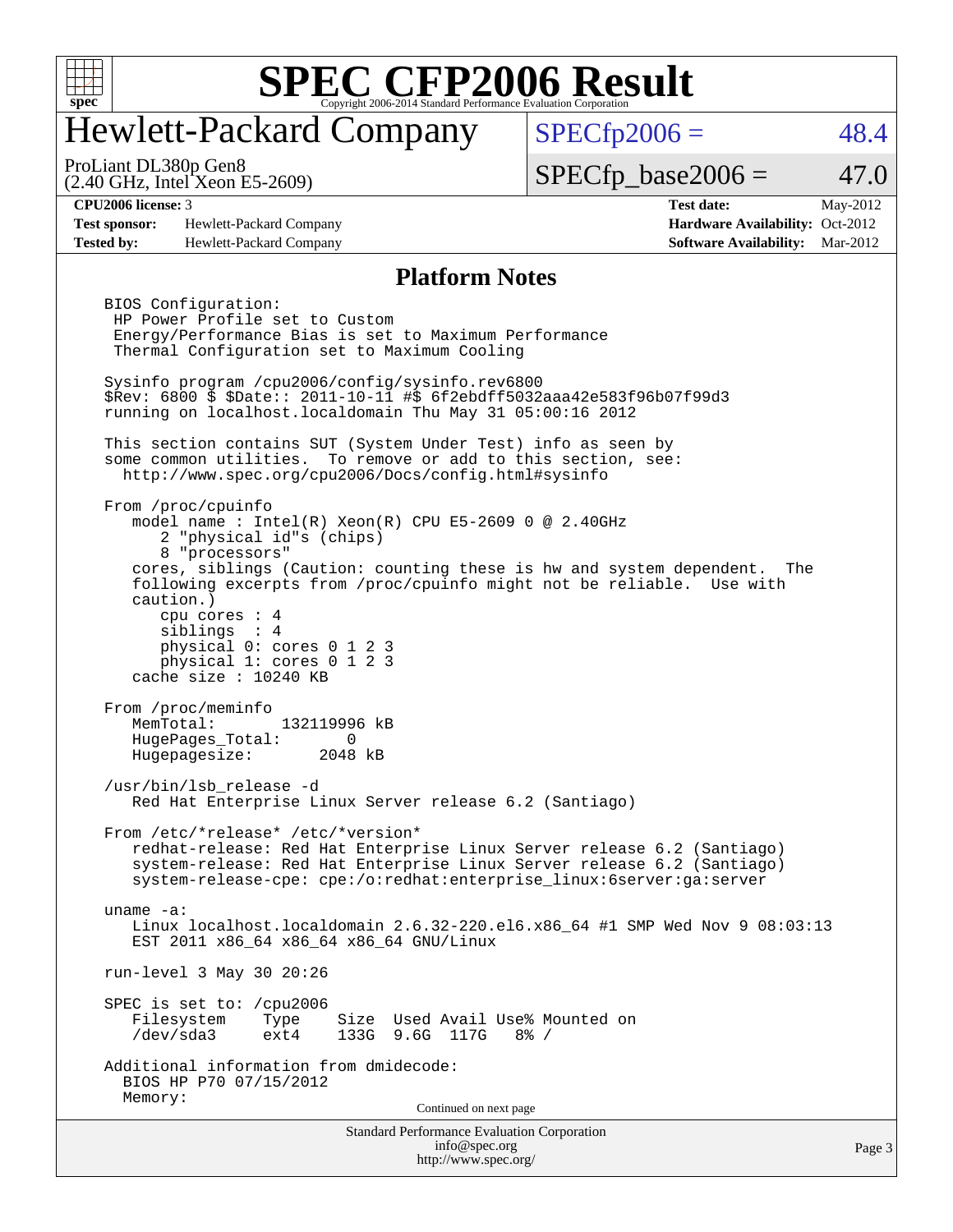

## Hewlett-Packard Company

 $SPECfp2006 = 48.4$  $SPECfp2006 = 48.4$ 

#### ProLiant DL380p Gen8

(2.40 GHz, Intel Xeon E5-2609)

 $SPECfp\_base2006 = 47.0$ 

**[Test sponsor:](http://www.spec.org/auto/cpu2006/Docs/result-fields.html#Testsponsor)** Hewlett-Packard Company **[Hardware Availability:](http://www.spec.org/auto/cpu2006/Docs/result-fields.html#HardwareAvailability)** Oct-2012 **[Tested by:](http://www.spec.org/auto/cpu2006/Docs/result-fields.html#Testedby)** Hewlett-Packard Company **[Software Availability:](http://www.spec.org/auto/cpu2006/Docs/result-fields.html#SoftwareAvailability)** Mar-2012

**[CPU2006 license:](http://www.spec.org/auto/cpu2006/Docs/result-fields.html#CPU2006license)** 3 **[Test date:](http://www.spec.org/auto/cpu2006/Docs/result-fields.html#Testdate)** May-2012

#### **[Platform Notes](http://www.spec.org/auto/cpu2006/Docs/result-fields.html#PlatformNotes)**

Standard Performance Evaluation Corporation [info@spec.org](mailto:info@spec.org) BIOS Configuration: HP Power Profile set to Custom Energy/Performance Bias is set to Maximum Performance Thermal Configuration set to Maximum Cooling Sysinfo program /cpu2006/config/sysinfo.rev6800 \$Rev: 6800 \$ \$Date:: 2011-10-11 #\$ 6f2ebdff5032aaa42e583f96b07f99d3 running on localhost.localdomain Thu May 31 05:00:16 2012 This section contains SUT (System Under Test) info as seen by some common utilities. To remove or add to this section, see: <http://www.spec.org/cpu2006/Docs/config.html#sysinfo> From /proc/cpuinfo model name : Intel(R) Xeon(R) CPU E5-2609 0 @ 2.40GHz 2 "physical id"s (chips) 8 "processors" cores, siblings (Caution: counting these is hw and system dependent. The following excerpts from /proc/cpuinfo might not be reliable. Use with caution.) cpu cores : 4 siblings : 4 physical 0: cores 0 1 2 3 physical 1: cores 0 1 2 3 cache size : 10240 KB From /proc/meminfo<br>MemTotal: 132119996 kB MemTotal: HugePages\_Total: 0 Hugepagesize: 2048 kB /usr/bin/lsb\_release -d Red Hat Enterprise Linux Server release 6.2 (Santiago) From /etc/\*release\* /etc/\*version\* redhat-release: Red Hat Enterprise Linux Server release 6.2 (Santiago) system-release: Red Hat Enterprise Linux Server release 6.2 (Santiago) system-release-cpe: cpe:/o:redhat:enterprise\_linux:6server:ga:server uname -a: Linux localhost.localdomain 2.6.32-220.el6.x86\_64 #1 SMP Wed Nov 9 08:03:13 EST 2011 x86\_64 x86\_64 x86\_64 GNU/Linux run-level 3 May 30 20:26 SPEC is set to: /cpu2006<br>Filesystem Type Type Size Used Avail Use% Mounted on<br>ext4 133G 9.6G 117G 8% / /dev/sda3 ext4 133G 9.6G 117G 8% / Additional information from dmidecode: BIOS HP P70 07/15/2012 Memory: Continued on next page

<http://www.spec.org/>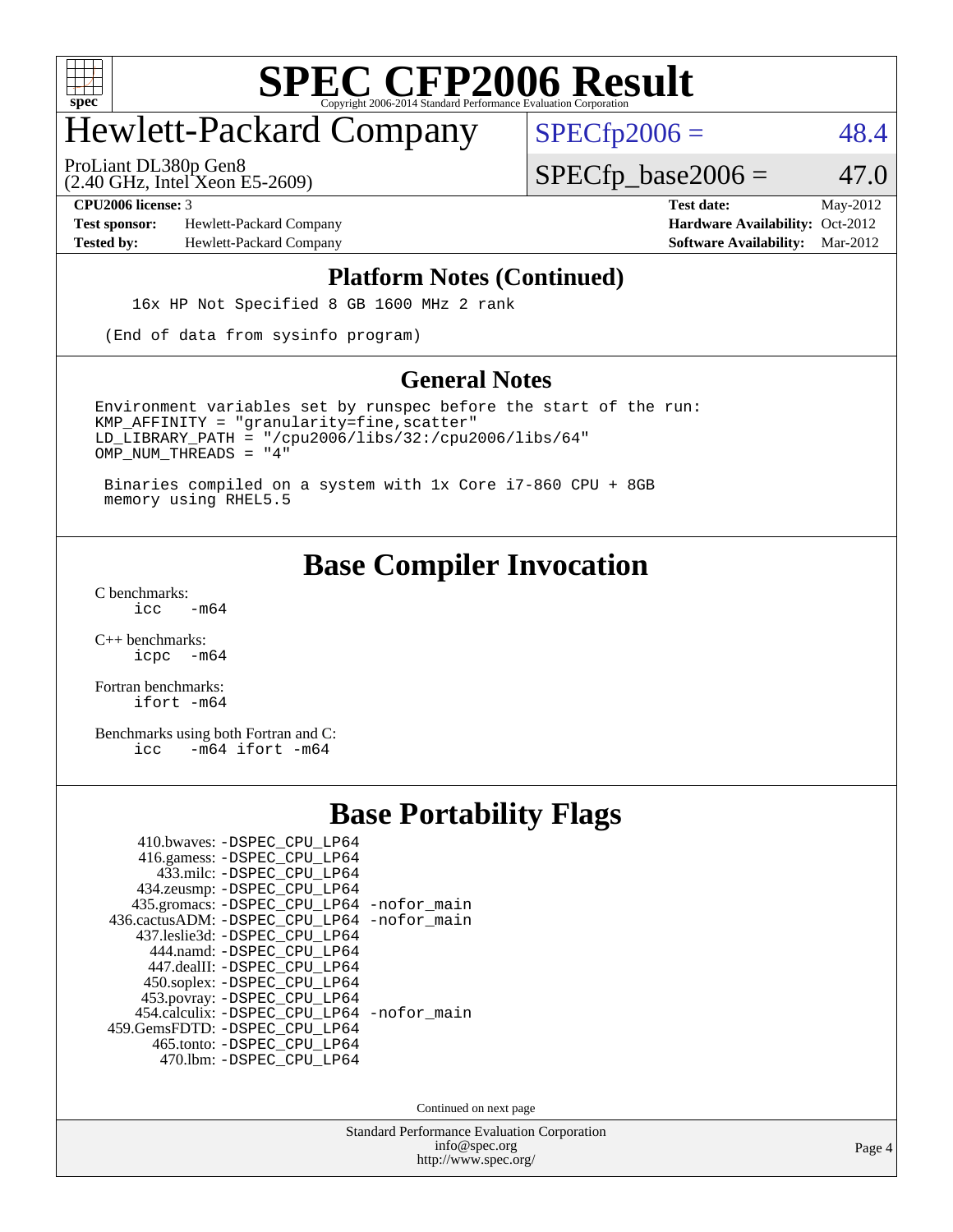

## Hewlett-Packard Company

ProLiant DL380p Gen8

 $SPECfp2006 = 48.4$  $SPECfp2006 = 48.4$ 

(2.40 GHz, Intel Xeon E5-2609)

 $SPECfp\_base2006 = 47.0$ 

**[Test sponsor:](http://www.spec.org/auto/cpu2006/Docs/result-fields.html#Testsponsor)** Hewlett-Packard Company **[Hardware Availability:](http://www.spec.org/auto/cpu2006/Docs/result-fields.html#HardwareAvailability)** Oct-2012 **[Tested by:](http://www.spec.org/auto/cpu2006/Docs/result-fields.html#Testedby)** Hewlett-Packard Company **[Software Availability:](http://www.spec.org/auto/cpu2006/Docs/result-fields.html#SoftwareAvailability)** Mar-2012

**[CPU2006 license:](http://www.spec.org/auto/cpu2006/Docs/result-fields.html#CPU2006license)** 3 **[Test date:](http://www.spec.org/auto/cpu2006/Docs/result-fields.html#Testdate)** May-2012

#### **[Platform Notes \(Continued\)](http://www.spec.org/auto/cpu2006/Docs/result-fields.html#PlatformNotes)**

16x HP Not Specified 8 GB 1600 MHz 2 rank

(End of data from sysinfo program)

#### **[General Notes](http://www.spec.org/auto/cpu2006/Docs/result-fields.html#GeneralNotes)**

Environment variables set by runspec before the start of the run:  $KMP$  AFFINITY = "granularity=fine, scatter" LD\_LIBRARY\_PATH = "/cpu2006/libs/32:/cpu2006/libs/64" OMP\_NUM\_THREADS = "4"

 Binaries compiled on a system with 1x Core i7-860 CPU + 8GB memory using RHEL5.5

### **[Base Compiler Invocation](http://www.spec.org/auto/cpu2006/Docs/result-fields.html#BaseCompilerInvocation)**

 $C$  benchmarks:<br> $i_{\text{CC}}$  $-m64$ 

[C++ benchmarks:](http://www.spec.org/auto/cpu2006/Docs/result-fields.html#CXXbenchmarks) [icpc -m64](http://www.spec.org/cpu2006/results/res2012q3/cpu2006-20120911-24426.flags.html#user_CXXbase_intel_icpc_64bit_bedb90c1146cab66620883ef4f41a67e)

[Fortran benchmarks](http://www.spec.org/auto/cpu2006/Docs/result-fields.html#Fortranbenchmarks): [ifort -m64](http://www.spec.org/cpu2006/results/res2012q3/cpu2006-20120911-24426.flags.html#user_FCbase_intel_ifort_64bit_ee9d0fb25645d0210d97eb0527dcc06e)

[Benchmarks using both Fortran and C](http://www.spec.org/auto/cpu2006/Docs/result-fields.html#BenchmarksusingbothFortranandC): [icc -m64](http://www.spec.org/cpu2006/results/res2012q3/cpu2006-20120911-24426.flags.html#user_CC_FCbase_intel_icc_64bit_0b7121f5ab7cfabee23d88897260401c) [ifort -m64](http://www.spec.org/cpu2006/results/res2012q3/cpu2006-20120911-24426.flags.html#user_CC_FCbase_intel_ifort_64bit_ee9d0fb25645d0210d97eb0527dcc06e)

### **[Base Portability Flags](http://www.spec.org/auto/cpu2006/Docs/result-fields.html#BasePortabilityFlags)**

| 410.bwaves: -DSPEC CPU LP64<br>416.gamess: -DSPEC_CPU_LP64<br>433.milc: -DSPEC CPU LP64 |  |
|-----------------------------------------------------------------------------------------|--|
| 434.zeusmp: -DSPEC_CPU_LP64                                                             |  |
| 435.gromacs: -DSPEC_CPU_LP64 -nofor_main                                                |  |
| 436.cactusADM: -DSPEC CPU LP64 -nofor main                                              |  |
| 437.leslie3d: -DSPEC_CPU LP64                                                           |  |
| 444.namd: -DSPEC CPU LP64                                                               |  |
| 447.dealII: -DSPEC CPU LP64                                                             |  |
| 450.soplex: -DSPEC_CPU_LP64                                                             |  |
| 453.povray: -DSPEC_CPU_LP64                                                             |  |
| 454.calculix: -DSPEC CPU LP64 -nofor main                                               |  |
| 459. GemsFDTD: - DSPEC CPU LP64                                                         |  |
| 465.tonto: - DSPEC_CPU_LP64                                                             |  |
| 470.1bm: - DSPEC CPU LP64                                                               |  |

Continued on next page

Standard Performance Evaluation Corporation [info@spec.org](mailto:info@spec.org) <http://www.spec.org/>

Page 4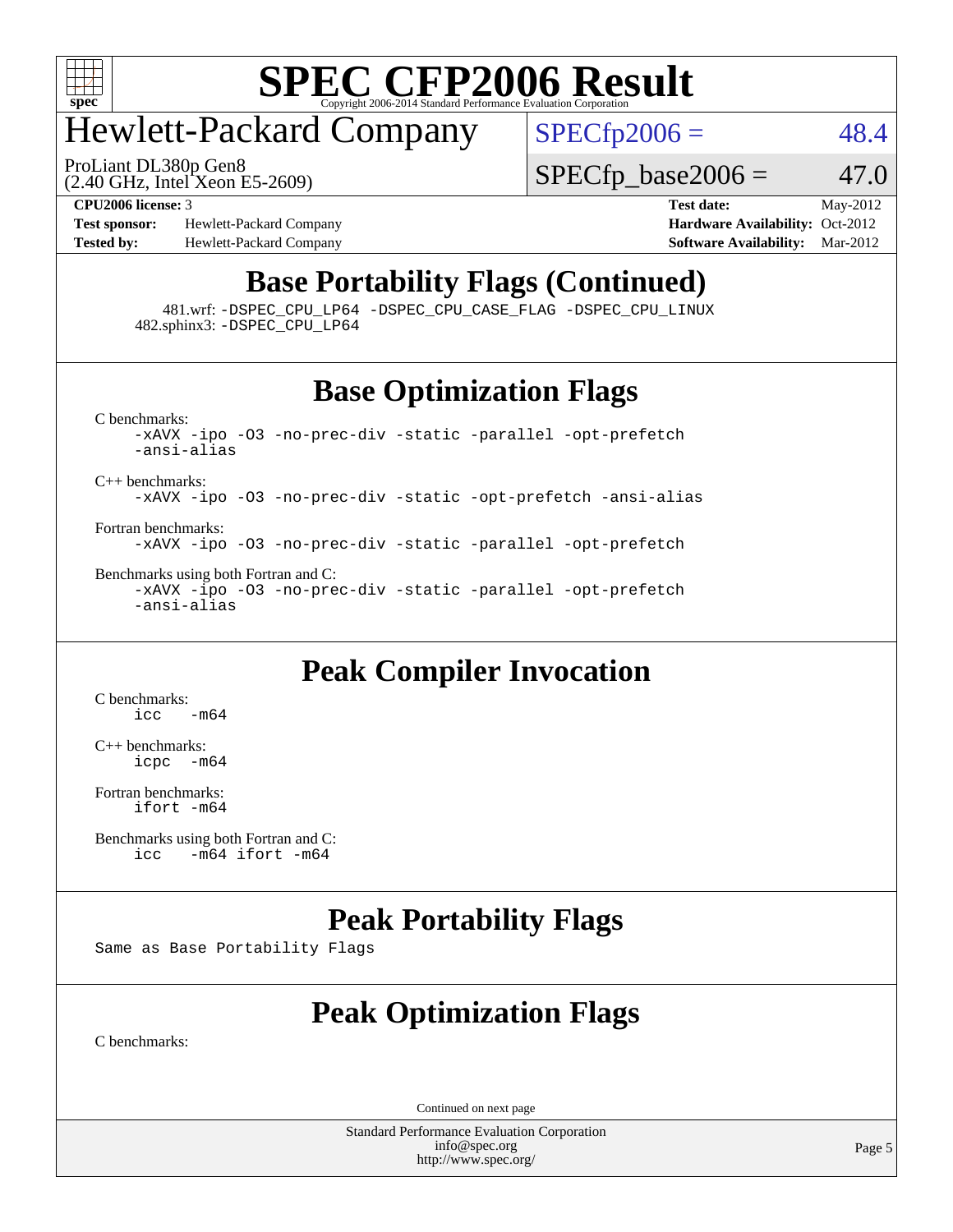

## Hewlett-Packard Company

 $SPECTp2006 = 48.4$ 

(2.40 GHz, Intel Xeon E5-2609) ProLiant DL380p Gen8

 $SPECfp\_base2006 = 47.0$ 

**[Test sponsor:](http://www.spec.org/auto/cpu2006/Docs/result-fields.html#Testsponsor)** Hewlett-Packard Company **[Hardware Availability:](http://www.spec.org/auto/cpu2006/Docs/result-fields.html#HardwareAvailability)** Oct-2012 **[Tested by:](http://www.spec.org/auto/cpu2006/Docs/result-fields.html#Testedby)** Hewlett-Packard Company **[Software Availability:](http://www.spec.org/auto/cpu2006/Docs/result-fields.html#SoftwareAvailability)** Mar-2012

**[CPU2006 license:](http://www.spec.org/auto/cpu2006/Docs/result-fields.html#CPU2006license)** 3 **[Test date:](http://www.spec.org/auto/cpu2006/Docs/result-fields.html#Testdate)** May-2012

### **[Base Portability Flags \(Continued\)](http://www.spec.org/auto/cpu2006/Docs/result-fields.html#BasePortabilityFlags)**

 481.wrf: [-DSPEC\\_CPU\\_LP64](http://www.spec.org/cpu2006/results/res2012q3/cpu2006-20120911-24426.flags.html#suite_basePORTABILITY481_wrf_DSPEC_CPU_LP64) [-DSPEC\\_CPU\\_CASE\\_FLAG](http://www.spec.org/cpu2006/results/res2012q3/cpu2006-20120911-24426.flags.html#b481.wrf_baseCPORTABILITY_DSPEC_CPU_CASE_FLAG) [-DSPEC\\_CPU\\_LINUX](http://www.spec.org/cpu2006/results/res2012q3/cpu2006-20120911-24426.flags.html#b481.wrf_baseCPORTABILITY_DSPEC_CPU_LINUX) 482.sphinx3: [-DSPEC\\_CPU\\_LP64](http://www.spec.org/cpu2006/results/res2012q3/cpu2006-20120911-24426.flags.html#suite_basePORTABILITY482_sphinx3_DSPEC_CPU_LP64)

### **[Base Optimization Flags](http://www.spec.org/auto/cpu2006/Docs/result-fields.html#BaseOptimizationFlags)**

[C benchmarks](http://www.spec.org/auto/cpu2006/Docs/result-fields.html#Cbenchmarks):

[-xAVX](http://www.spec.org/cpu2006/results/res2012q3/cpu2006-20120911-24426.flags.html#user_CCbase_f-xAVX) [-ipo](http://www.spec.org/cpu2006/results/res2012q3/cpu2006-20120911-24426.flags.html#user_CCbase_f-ipo) [-O3](http://www.spec.org/cpu2006/results/res2012q3/cpu2006-20120911-24426.flags.html#user_CCbase_f-O3) [-no-prec-div](http://www.spec.org/cpu2006/results/res2012q3/cpu2006-20120911-24426.flags.html#user_CCbase_f-no-prec-div) [-static](http://www.spec.org/cpu2006/results/res2012q3/cpu2006-20120911-24426.flags.html#user_CCbase_f-static) [-parallel](http://www.spec.org/cpu2006/results/res2012q3/cpu2006-20120911-24426.flags.html#user_CCbase_f-parallel) [-opt-prefetch](http://www.spec.org/cpu2006/results/res2012q3/cpu2006-20120911-24426.flags.html#user_CCbase_f-opt-prefetch) [-ansi-alias](http://www.spec.org/cpu2006/results/res2012q3/cpu2006-20120911-24426.flags.html#user_CCbase_f-ansi-alias)

[C++ benchmarks:](http://www.spec.org/auto/cpu2006/Docs/result-fields.html#CXXbenchmarks) [-xAVX](http://www.spec.org/cpu2006/results/res2012q3/cpu2006-20120911-24426.flags.html#user_CXXbase_f-xAVX) [-ipo](http://www.spec.org/cpu2006/results/res2012q3/cpu2006-20120911-24426.flags.html#user_CXXbase_f-ipo) [-O3](http://www.spec.org/cpu2006/results/res2012q3/cpu2006-20120911-24426.flags.html#user_CXXbase_f-O3) [-no-prec-div](http://www.spec.org/cpu2006/results/res2012q3/cpu2006-20120911-24426.flags.html#user_CXXbase_f-no-prec-div) [-static](http://www.spec.org/cpu2006/results/res2012q3/cpu2006-20120911-24426.flags.html#user_CXXbase_f-static) [-opt-prefetch](http://www.spec.org/cpu2006/results/res2012q3/cpu2006-20120911-24426.flags.html#user_CXXbase_f-opt-prefetch) [-ansi-alias](http://www.spec.org/cpu2006/results/res2012q3/cpu2006-20120911-24426.flags.html#user_CXXbase_f-ansi-alias)

[Fortran benchmarks](http://www.spec.org/auto/cpu2006/Docs/result-fields.html#Fortranbenchmarks):

[-xAVX](http://www.spec.org/cpu2006/results/res2012q3/cpu2006-20120911-24426.flags.html#user_FCbase_f-xAVX) [-ipo](http://www.spec.org/cpu2006/results/res2012q3/cpu2006-20120911-24426.flags.html#user_FCbase_f-ipo) [-O3](http://www.spec.org/cpu2006/results/res2012q3/cpu2006-20120911-24426.flags.html#user_FCbase_f-O3) [-no-prec-div](http://www.spec.org/cpu2006/results/res2012q3/cpu2006-20120911-24426.flags.html#user_FCbase_f-no-prec-div) [-static](http://www.spec.org/cpu2006/results/res2012q3/cpu2006-20120911-24426.flags.html#user_FCbase_f-static) [-parallel](http://www.spec.org/cpu2006/results/res2012q3/cpu2006-20120911-24426.flags.html#user_FCbase_f-parallel) [-opt-prefetch](http://www.spec.org/cpu2006/results/res2012q3/cpu2006-20120911-24426.flags.html#user_FCbase_f-opt-prefetch)

[Benchmarks using both Fortran and C](http://www.spec.org/auto/cpu2006/Docs/result-fields.html#BenchmarksusingbothFortranandC): [-xAVX](http://www.spec.org/cpu2006/results/res2012q3/cpu2006-20120911-24426.flags.html#user_CC_FCbase_f-xAVX) [-ipo](http://www.spec.org/cpu2006/results/res2012q3/cpu2006-20120911-24426.flags.html#user_CC_FCbase_f-ipo) [-O3](http://www.spec.org/cpu2006/results/res2012q3/cpu2006-20120911-24426.flags.html#user_CC_FCbase_f-O3) [-no-prec-div](http://www.spec.org/cpu2006/results/res2012q3/cpu2006-20120911-24426.flags.html#user_CC_FCbase_f-no-prec-div) [-static](http://www.spec.org/cpu2006/results/res2012q3/cpu2006-20120911-24426.flags.html#user_CC_FCbase_f-static) [-parallel](http://www.spec.org/cpu2006/results/res2012q3/cpu2006-20120911-24426.flags.html#user_CC_FCbase_f-parallel) [-opt-prefetch](http://www.spec.org/cpu2006/results/res2012q3/cpu2006-20120911-24426.flags.html#user_CC_FCbase_f-opt-prefetch) [-ansi-alias](http://www.spec.org/cpu2006/results/res2012q3/cpu2006-20120911-24426.flags.html#user_CC_FCbase_f-ansi-alias)

### **[Peak Compiler Invocation](http://www.spec.org/auto/cpu2006/Docs/result-fields.html#PeakCompilerInvocation)**

[C benchmarks](http://www.spec.org/auto/cpu2006/Docs/result-fields.html#Cbenchmarks):  $\text{icc}$   $-\text{m64}$ 

[C++ benchmarks:](http://www.spec.org/auto/cpu2006/Docs/result-fields.html#CXXbenchmarks) [icpc -m64](http://www.spec.org/cpu2006/results/res2012q3/cpu2006-20120911-24426.flags.html#user_CXXpeak_intel_icpc_64bit_bedb90c1146cab66620883ef4f41a67e)

[Fortran benchmarks](http://www.spec.org/auto/cpu2006/Docs/result-fields.html#Fortranbenchmarks): [ifort -m64](http://www.spec.org/cpu2006/results/res2012q3/cpu2006-20120911-24426.flags.html#user_FCpeak_intel_ifort_64bit_ee9d0fb25645d0210d97eb0527dcc06e)

[Benchmarks using both Fortran and C](http://www.spec.org/auto/cpu2006/Docs/result-fields.html#BenchmarksusingbothFortranandC):<br>icc -m64 ifort -m64  $-m64$  ifort  $-m64$ 

### **[Peak Portability Flags](http://www.spec.org/auto/cpu2006/Docs/result-fields.html#PeakPortabilityFlags)**

Same as Base Portability Flags

## **[Peak Optimization Flags](http://www.spec.org/auto/cpu2006/Docs/result-fields.html#PeakOptimizationFlags)**

[C benchmarks](http://www.spec.org/auto/cpu2006/Docs/result-fields.html#Cbenchmarks):

Continued on next page

Standard Performance Evaluation Corporation [info@spec.org](mailto:info@spec.org) <http://www.spec.org/>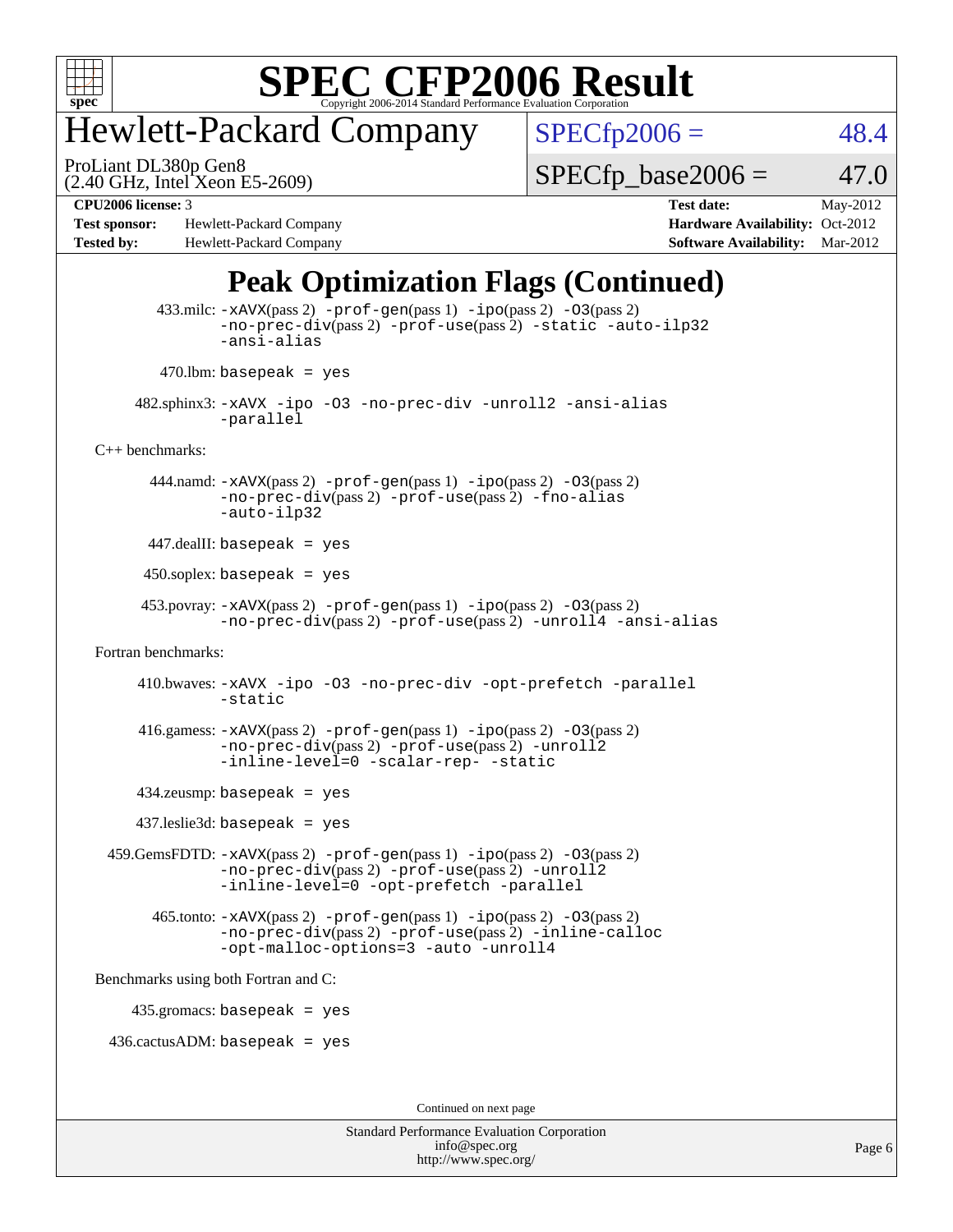

## Hewlett-Packard Company

ProLiant DL380p Gen8

 $SPECfp2006 = 48.4$  $SPECfp2006 = 48.4$ 

(2.40 GHz, Intel Xeon E5-2609)

 $SPECTp\_base2006 = 47.0$ 

**[Test sponsor:](http://www.spec.org/auto/cpu2006/Docs/result-fields.html#Testsponsor)** Hewlett-Packard Company **[Hardware Availability:](http://www.spec.org/auto/cpu2006/Docs/result-fields.html#HardwareAvailability)** Oct-2012 **[Tested by:](http://www.spec.org/auto/cpu2006/Docs/result-fields.html#Testedby)** Hewlett-Packard Company **[Software Availability:](http://www.spec.org/auto/cpu2006/Docs/result-fields.html#SoftwareAvailability)** Mar-2012

**[CPU2006 license:](http://www.spec.org/auto/cpu2006/Docs/result-fields.html#CPU2006license)** 3 **[Test date:](http://www.spec.org/auto/cpu2006/Docs/result-fields.html#Testdate)** May-2012

### **[Peak Optimization Flags \(Continued\)](http://www.spec.org/auto/cpu2006/Docs/result-fields.html#PeakOptimizationFlags)**

```
 433.milc: -xAVX(pass 2) -prof-gen(pass 1) -ipo(pass 2) -O3(pass 2)
               -no-prec-div(pass 2) -prof-use(pass 2) -static -auto-ilp32
               -ansi-alias
        470.lbm: basepeak = yes
      482.sphinx3: -xAVX -ipo -O3 -no-prec-div -unroll2 -ansi-alias
               -parallel
C++ benchmarks: 
        444.namd: -xAVX(pass 2) -prof-gen(pass 1) -ipo(pass 2) -O3(pass 2)
               -no-prec-div(pass 2) -prof-use(pass 2) -fno-alias
               -auto-ilp32
       447.dealII: basepeak = yes
      450.soplex: basepeak = yes
      453.povray: -xAVX(pass 2) -prof-gen(pass 1) -ipo(pass 2) -O3(pass 2)
                -no-prec-div(pass 2) -prof-use(pass 2) -unroll4 -ansi-alias
Fortran benchmarks: 
      410.bwaves: -xAVX -ipo -O3 -no-prec-div -opt-prefetch -parallel
               -static
     416.gamess: -xAVX(pass 2) -prof-gen(pass 1) -ipo(pass 2) -O3(pass 2)
               -no-prec-div(pass 2) -prof-use(pass 2) -unroll2
               -inline-level=0-scalar-rep--static
      434.zeusmp: basepeak = yes
      437.leslie3d: basepeak = yes
  459.GemsFDTD: -xAVX(pass 2) -prof-gen(pass 1) -ipo(pass 2) -O3(pass 2)
               -no-prec-div(pass 2) -prof-use(pass 2) -unroll2
               -inline-level=0 -opt-prefetch -parallel
       465.tonto: -xAVX(pass 2) -prof-gen(pass 1) -pipo(pass 2) -03(pass 2)
               -no-prec-div(pass 2) -prof-use(pass 2) -inline-calloc
               -opt-malloc-options=3-auto-unroll4
Benchmarks using both Fortran and C: 
     435.gromacs: basepeak = yes
  436.cactusADM: basepeak = yes
```
Continued on next page

Standard Performance Evaluation Corporation [info@spec.org](mailto:info@spec.org) <http://www.spec.org/>